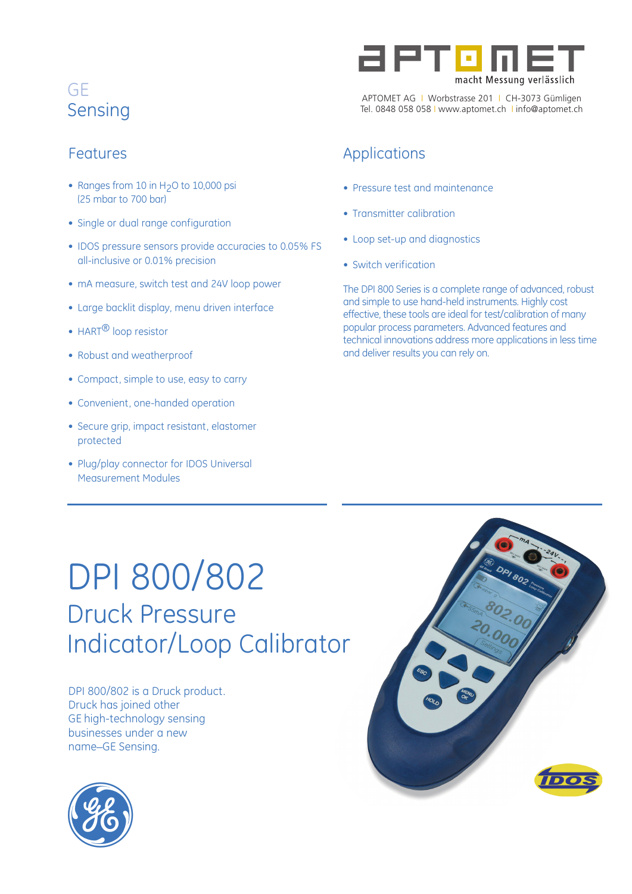## Features

- Ranges from 10 in  $H_2O$  to 10,000 psi (25 mbar to 700 bar)
- Single or dual range configuration
- IDOS pressure sensors provide accuracies to 0.05% FS all-inclusive or 0.01% precision
- mA measure, switch test and 24V loop power
- Large backlit display, menu driven interface
- HART<sup>®</sup> loop resistor
- Robust and weatherproof
- Compact, simple to use, easy to carry
- Convenient, one-handed operation
- Secure grip, impact resistant, elastomer protected
- Plug/play connector for IDOS Universal Measurement Modules



APTOMET AG I Worbstrasse 201 I CH-3073 Gümligen Tel. 0848 058 058 I www.aptomet.ch I info@aptomet.ch

## Applications

- Pressure test and maintenance
- Transmitter calibration
- Loop set-up and diagnostics
- Switch verification

The DPI 800 Series is a complete range of advanced, robust and simple to use hand-held instruments. Highly cost effective, these tools are ideal for test/calibration of many popular process parameters. Advanced features and technical innovations address more applications in less time and deliver results you can rely on.

## DPI 800/802 Druck Pressure Indicator/Loop Calibrator

DPI 800/802 is a Druck product. Druck has joined other GE high-technology sensing businesses under a new name\_GE Sensing.



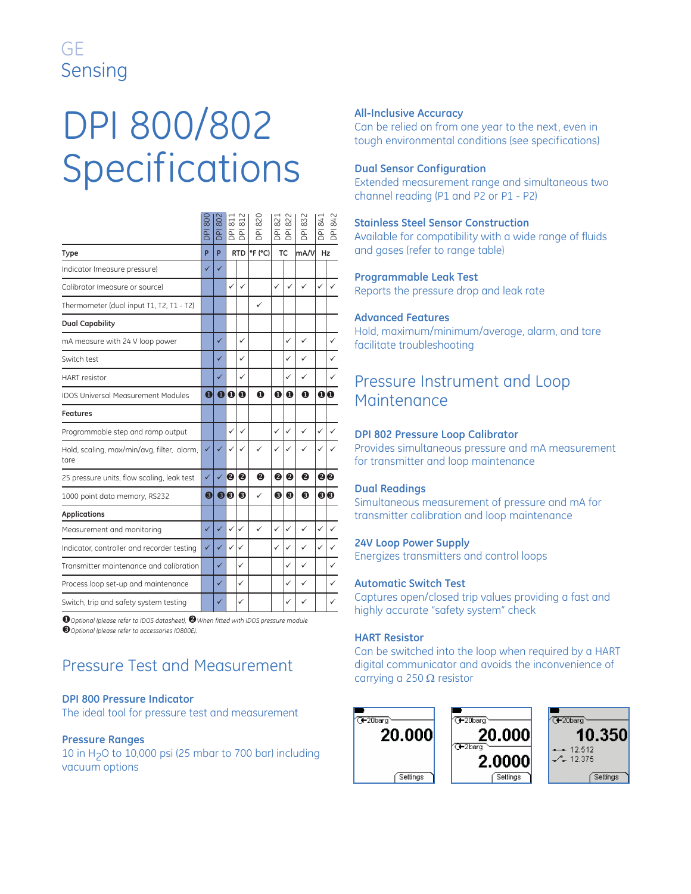# DPI 800/802 Specifications

|                                                    | 800<br>$\overline{P}$ | 802<br><b>DPI</b> | 51          | $\approx$<br>좀 좀 | 820<br>$\overline{5}$ | $\approx$<br>$\overline{B}$ $\overline{B}$ | $\approx$    | 832<br><b>PI</b> | $\overline{84}$<br>용 | 842<br>$\overline{P}$ |
|----------------------------------------------------|-----------------------|-------------------|-------------|------------------|-----------------------|--------------------------------------------|--------------|------------------|----------------------|-----------------------|
| Type                                               | P                     | P                 |             | <b>RTD</b>       | °F (°C)               |                                            | <b>TC</b>    | mA/V             | Hz                   |                       |
| Indicator (measure pressure)                       | ✓                     | ✓                 |             |                  |                       |                                            |              |                  |                      |                       |
| Calibrator (measure or source)                     |                       |                   | ✓           | $\checkmark$     |                       | $\checkmark$                               | ✓            | ✓                | ✓                    |                       |
| Thermometer (dual input T1, T2, T1 - T2)           |                       |                   |             |                  | ✓                     |                                            |              |                  |                      |                       |
| <b>Dual Capability</b>                             |                       |                   |             |                  |                       |                                            |              |                  |                      |                       |
| mA measure with 24 V loop power                    |                       | ✓                 |             | ✓                |                       |                                            | ✓            | ✓                |                      | ✓                     |
| Switch test                                        |                       |                   |             | ✓                |                       |                                            | $\checkmark$ | $\checkmark$     |                      |                       |
| <b>HART</b> resistor                               |                       | ✓                 |             | ✓                |                       |                                            | $\checkmark$ | ✓                |                      | ✓                     |
| <b>IDOS Universal Measurement Modules</b>          | $\mathbf 0$           | $\mathbf 0$       | $\mathbf 0$ | $\bf{O}$         | $\mathbf 0$           | $\bf{O}$                                   | $\bf{0}$     | $\mathbf 0$      |                      | 00                    |
| Features                                           |                       |                   |             |                  |                       |                                            |              |                  |                      |                       |
| Programmable step and ramp output                  |                       |                   | ✓           | ✓                |                       | $\checkmark$                               | $\checkmark$ | $\checkmark$     | ✓                    |                       |
| Hold, scaling, max/min/avg, filter, alarm,<br>tare | ✓                     | ✓                 |             | ✓                | ✓                     | $\checkmark$                               | $\checkmark$ | ✓                |                      |                       |
| 25 pressure units, flow scaling, leak test         | $\checkmark$          | ✓                 | 2           | 2                | ❷                     | 2                                          | ❷            | 2                |                      | 80                    |
| 1000 point data memory, RS232                      | ❸                     | ❸                 | l0          | ❸                | ✓                     | ❸                                          | ❸            | ❸                |                      | 60                    |
| <b>Applications</b>                                |                       |                   |             |                  |                       |                                            |              |                  |                      |                       |
| Measurement and monitoring                         | $\checkmark$          | ✓                 | ✓           | ✓                | ✓                     | ✓                                          | $\checkmark$ | ✓                | ✓                    | ✓                     |
| Indicator, controller and recorder testing         | $\checkmark$          | ✓                 | ✓           | $\checkmark$     |                       | $\checkmark$                               | $\checkmark$ | ✓                | ✓                    |                       |
| Transmitter maintenance and calibration            |                       | ✓                 |             | ✓                |                       |                                            | $\checkmark$ | ✓                |                      | ✓                     |
| Process loop set-up and maintenance                |                       | ✓                 |             | ✓                |                       |                                            | $\checkmark$ | ✓                |                      |                       |
| Switch, trip and safety system testing             |                       | ✓                 |             | ✓                |                       |                                            | ✓            | ✓                |                      | ✓                     |
|                                                    |                       |                   |             |                  |                       |                                            |              |                  |                      |                       |

-*Optional (please refer to IDOS datasheet), When fitted with IDOS pressure module Optional (please refer to accessories IO800E).*

## Pressure Test and Measurement

#### **DPI 800 Pressure Indicator**

The ideal tool for pressure test and measurement

#### **Pressure Ranges**

10 in H2O to 10,000 psi (25 mbar to 700 bar) including vacuum options

#### **All-Inclusive Accuracy**

Can be relied on from one year to the next, even in tough environmental conditions (see specifications)

#### **Dual Sensor Configuration**

Extended measurement range and simultaneous two channel reading (P1 and P2 or P1 - P2)

#### **Stainless Steel Sensor Construction**

Available for compatibility with a wide range of fluids and gases (refer to range table)

#### **Programmable Leak Test**

Reports the pressure drop and leak rate

#### **Advanced Features**

Hold, maximum/minimum/average, alarm, and tare facilitate troubleshooting

### Pressure Instrument and Loop **Maintenance**

#### **DPI 802 Pressure Loop Calibrator**

Provides simultaneous pressure and mA measurement for transmitter and loop maintenance

#### **Dual Readings**

Simultaneous measurement of pressure and mA for transmitter calibration and loop maintenance

#### **24V Loop Power Supply**

Energizes transmitters and control loops

#### **Automatic Switch Test**

Captures open/closed trip values providing a fast and highly accurate "safety system" check

#### **HART Resistor**

Can be switched into the loop when required by a HART digital communicator and avoids the inconvenience of carrying a 250  $\Omega$  resistor

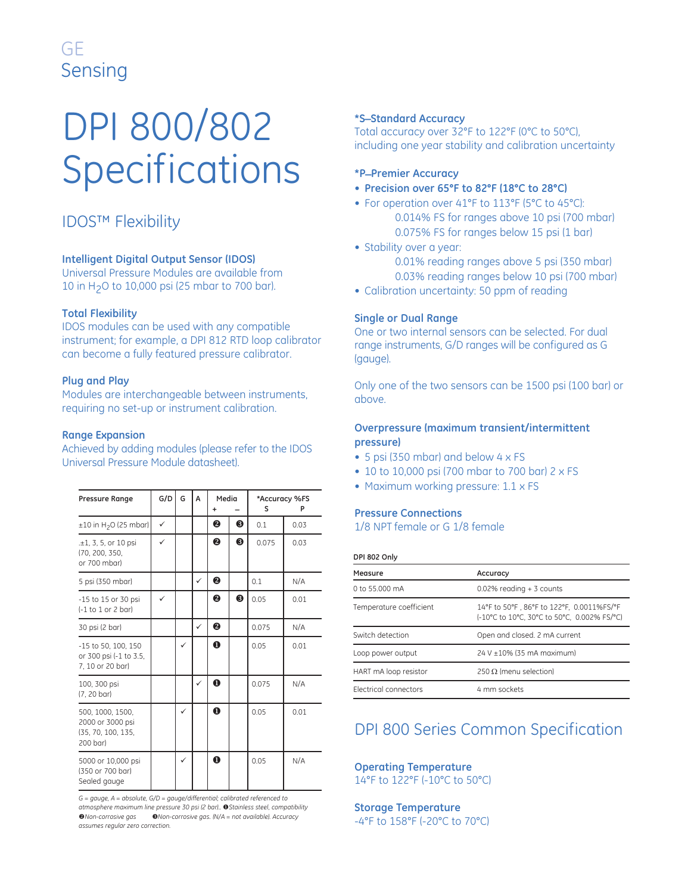# DPI 800/802 Specifications

## IDOS™ Flexibility

#### **Intelligent Digital Output Sensor (IDOS)**

Universal Pressure Modules are available from 10 in H2O to 10,000 psi (25 mbar to 700 bar).

#### **Total Flexibility**

IDOS modules can be used with any compatible instrument; for example, a DPI 812 RTD loop calibrator can become a fully featured pressure calibrator.

#### **Plug and Play**

Modules are interchangeable between instruments, requiring no set-up or instrument calibration.

#### **Range Expansion**

Achieved by adding modules (please refer to the IDOS Universal Pressure Module datasheet).

| <b>Pressure Range</b>                                                  | G/D          | G | A            | Media       |   | s     | *Accuracy %FS<br>Р |
|------------------------------------------------------------------------|--------------|---|--------------|-------------|---|-------|--------------------|
| $\pm 10$ in H <sub>2</sub> O (25 mbar)                                 | $\checkmark$ |   |              | ❷           | 6 | 0.1   | 0.03               |
| .±1, 3, 5, or 10 psi<br>(70, 200, 350,<br>or 700 mbar)                 | ✓            |   |              | ❷           | ❸ | 0.075 | 0.03               |
| 5 psi (350 mbar)                                                       |              |   | ✓            | ❷           |   | 0.1   | N/A                |
| -15 to 15 or 30 psi<br>$(-1)$ to $1$ or $2$ bar)                       |              |   |              | ❷           | ❸ | 0.05  | 0.01               |
| 30 psi (2 bar)                                                         |              |   | $\checkmark$ | ❷           |   | 0.075 | N/A                |
| -15 to 50, 100, 150<br>or 300 psi (-1 to 3.5,<br>7, 10 or 20 bar)      |              | ✓ |              | $\mathbf 0$ |   | 0.05  | 0.01               |
| 100, 300 psi<br>(7, 20 bar)                                            |              |   | $\checkmark$ | $\bf{0}$    |   | 0.075 | N/A                |
| 500, 1000, 1500,<br>2000 or 3000 psi<br>(35, 70, 100, 135,<br>200 bar) |              | ✓ |              | $\bf{O}$    |   | 0.05  | 0.01               |
| 5000 or 10,000 psi<br>(350 or 700 bar)<br>Sealed gauge                 |              | ✓ |              | $\bf o$     |   | 0.05  | N/A                |

*G = gauge, A = absolute, G/D = gauge/differential; calibrated referenced to atmosphere maximum line pressure 30 psi (2 bar)..* -*Stainless steel, compatibility Non-corrosive gas Non-corrosive gas. (N/A = not available). Accuracy assumes regular zero correction.*

#### **\*S\_Standard Accuracy**

Total accuracy over 32°F to 122°F (0°C to 50°C), including one year stability and calibration uncertainty

#### **\*P\_Premier Accuracy**

- **Precision over 65°F to 82°F (18°C to 28°C)**
- For operation over 41°F to 113°F (5°C to 45°C): 0.014% FS for ranges above 10 psi (700 mbar)
	- 0.075% FS for ranges below 15 psi (1 bar)
- **•** Stability over a year:
	- 0.01% reading ranges above 5 psi (350 mbar) 0.03% reading ranges below 10 psi (700 mbar)
- Calibration uncertainty: 50 ppm of reading

#### **Single or Dual Range**

One or two internal sensors can be selected. For dual range instruments, G/D ranges will be configured as G (gauge).

Only one of the two sensors can be 1500 psi (100 bar) or above.

#### **Overpressure (maximum transient/intermittent pressure)**

- 5 psi (350 mbar) and below 4 x FS
- 10 to 10,000 psi (700 mbar to 700 bar) 2 x FS
- Maximum working pressure: 1.1 x FS

#### **Pressure Connections**

1/8 NPT female or G 1/8 female

#### **DPI 802 Only**

| Measure                 | Accuracy                                                                                 |
|-------------------------|------------------------------------------------------------------------------------------|
| 0 to 55,000 mA          | $0.02\%$ reading + 3 counts                                                              |
| Temperature coefficient | 14°F to 50°F, 86°F to 122°F, 0.0011%FS/°F<br>(-10°C to 10°C, 30°C to 50°C, 0.002% FS/°C) |
| Switch detection        | Open and closed. 2 mA current                                                            |
| Loop power output       | 24 V ±10% (35 mA maximum)                                                                |
| HART mA loop resistor   | 250 $\Omega$ (menu selection)                                                            |
| Electrical connectors   | 4 mm sockets                                                                             |

## DPI 800 Series Common Specification

## **Operating Temperature**

14°F to 122°F (-10°C to 50°C)

**Storage Temperature** -4°F to 158°F (-20°C to 70°C)